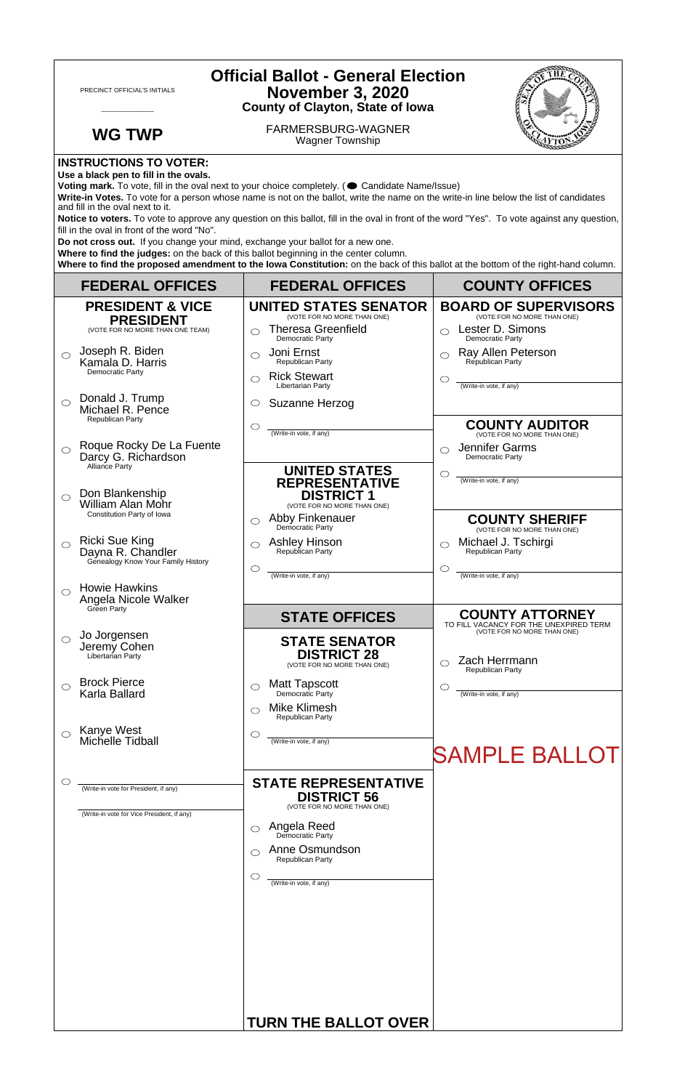| <b>Official Ballot - General Election</b><br><b>November 3, 2020</b><br>PRECINCT OFFICIAL'S INITIALS<br><b>County of Clayton, State of Iowa</b>                                                                                                                                                                                                                                                                                                                                                            |                                                         |                                                                                 |                                                                                                 |  |
|------------------------------------------------------------------------------------------------------------------------------------------------------------------------------------------------------------------------------------------------------------------------------------------------------------------------------------------------------------------------------------------------------------------------------------------------------------------------------------------------------------|---------------------------------------------------------|---------------------------------------------------------------------------------|-------------------------------------------------------------------------------------------------|--|
|                                                                                                                                                                                                                                                                                                                                                                                                                                                                                                            | <b>WG TWP</b>                                           | <b>FARMERSBURG-WAGNER</b><br><b>Wagner Township</b>                             |                                                                                                 |  |
| <b>INSTRUCTIONS TO VOTER:</b><br>Use a black pen to fill in the ovals.<br>Voting mark. To vote, fill in the oval next to your choice completely. ( Candidate Name/Issue)<br>Write-in Votes. To vote for a person whose name is not on the ballot, write the name on the write-in line below the list of candidates<br>and fill in the oval next to it.                                                                                                                                                     |                                                         |                                                                                 |                                                                                                 |  |
| Notice to voters. To vote to approve any question on this ballot, fill in the oval in front of the word "Yes". To vote against any question,<br>fill in the oval in front of the word "No".<br>Do not cross out. If you change your mind, exchange your ballot for a new one.<br>Where to find the judges: on the back of this ballot beginning in the center column.<br>Where to find the proposed amendment to the lowa Constitution: on the back of this ballot at the bottom of the right-hand column. |                                                         |                                                                                 |                                                                                                 |  |
|                                                                                                                                                                                                                                                                                                                                                                                                                                                                                                            | <b>FEDERAL OFFICES</b>                                  | <b>FEDERAL OFFICES</b>                                                          | <b>COUNTY OFFICES</b>                                                                           |  |
|                                                                                                                                                                                                                                                                                                                                                                                                                                                                                                            | <b>PRESIDENT &amp; VICE</b>                             | <b>UNITED STATES SENATOR</b><br>(VOTE FOR NO MORE THAN ONE)                     | <b>BOARD OF SUPERVISORS</b><br>(VOTE FOR NO MORE THAN ONE)                                      |  |
|                                                                                                                                                                                                                                                                                                                                                                                                                                                                                                            | <b>PRESIDENT</b><br>(VOTE FOR NO MORE THAN ONE TEAM)    | <b>Theresa Greenfield</b><br>◯<br>Democratic Party                              | Lester D. Simons<br>Democratic Party                                                            |  |
| ⌒                                                                                                                                                                                                                                                                                                                                                                                                                                                                                                          | Joseph R. Biden<br>Kamala D. Harris<br>Democratic Party | Joni Ernst<br>◯<br>Republican Party<br><b>Rick Stewart</b>                      | Ray Allen Peterson<br>Republican Party                                                          |  |
|                                                                                                                                                                                                                                                                                                                                                                                                                                                                                                            | Donald J. Trump                                         | ◯<br>Libertarian Party                                                          | O<br>(Write-in vote, if any)                                                                    |  |
| $\bigcirc$                                                                                                                                                                                                                                                                                                                                                                                                                                                                                                 | Michael R. Pence<br>Republican Party                    | Suzanne Herzog<br>$\circ$                                                       |                                                                                                 |  |
| ◯                                                                                                                                                                                                                                                                                                                                                                                                                                                                                                          | Roque Rocky De La Fuente<br>Darcy G. Richardson         | $\circlearrowright$<br>(Write-in vote, if any)                                  | <b>COUNTY AUDITOR</b><br>(VOTE FOR NO MORE THAN ONE)<br>Jennifer Garms<br>◯<br>Democratic Party |  |
| $\bigcirc$                                                                                                                                                                                                                                                                                                                                                                                                                                                                                                 | Alliance Party<br>Don Blankenship                       | <b>UNITED STATES</b><br><b>REPRESENTATIVE</b><br><b>DISTRICT 1</b>              | ◯<br>(Write-in vote, if any)                                                                    |  |
|                                                                                                                                                                                                                                                                                                                                                                                                                                                                                                            | William Alan Mohr<br>Constitution Party of Iowa         | (VOTE FOR NO MORE THAN ONE)<br>Abby Finkenauer                                  | <b>COUNTY SHERIFF</b>                                                                           |  |
|                                                                                                                                                                                                                                                                                                                                                                                                                                                                                                            | <b>Ricki Sue King</b><br>Dayna R. Chandler              | ◯<br>Democratic Party<br><b>Ashley Hinson</b><br>$\bigcirc$<br>Republican Party | (VOTE FOR NO MORE THAN ONE)<br>Michael J. Tschirgi<br>Republican Party                          |  |
|                                                                                                                                                                                                                                                                                                                                                                                                                                                                                                            | Genealogy Know Your Family History                      | $\circ$<br>(Write-in vote, if any)                                              | O<br>(Write-in vote, if any)                                                                    |  |
| ◯                                                                                                                                                                                                                                                                                                                                                                                                                                                                                                          | <b>Howie Hawkins</b><br>Angela Nicole Walker            |                                                                                 |                                                                                                 |  |
|                                                                                                                                                                                                                                                                                                                                                                                                                                                                                                            | Green Party                                             | <b>STATE OFFICES</b>                                                            | <b>COUNTY ATTORNEY</b><br>TO FILL VACANCY FOR THE UNEXPIRED TERM                                |  |
| $\circ$                                                                                                                                                                                                                                                                                                                                                                                                                                                                                                    | Jo Jorgensen<br>Jeremy Cohen<br>Libertarian Party       | <b>STATE SENATOR</b><br><b>DISTRICT 28</b><br>(VOTE FOR NO MORE THAN ONE)       | (VOTE FOR NO MORE THAN ONE)<br>Zach Herrmann                                                    |  |
|                                                                                                                                                                                                                                                                                                                                                                                                                                                                                                            | <b>Brock Pierce</b>                                     | <b>Matt Tapscott</b><br>$\circ$                                                 | Republican Party<br>Œ                                                                           |  |
|                                                                                                                                                                                                                                                                                                                                                                                                                                                                                                            | Karla Ballard                                           | Democratic Party<br><b>Mike Klimesh</b><br>Republican Party                     | (Write-in vote, if any)                                                                         |  |
|                                                                                                                                                                                                                                                                                                                                                                                                                                                                                                            | Kanye West<br>Michelle Tidball                          | $\circ$<br>(Write-in vote, if any)                                              | <b>SAMPLE BALLOT</b>                                                                            |  |
|                                                                                                                                                                                                                                                                                                                                                                                                                                                                                                            | (Write-in vote for President, if any)                   | <b>STATE REPRESENTATIVE</b><br><b>DISTRICT 56</b>                               |                                                                                                 |  |
|                                                                                                                                                                                                                                                                                                                                                                                                                                                                                                            | (Write-in vote for Vice President, if any)              | (VOTE FOR NO MORE THAN ONE)                                                     |                                                                                                 |  |
|                                                                                                                                                                                                                                                                                                                                                                                                                                                                                                            |                                                         | Angela Reed<br>Democratic Party<br>◯                                            |                                                                                                 |  |
|                                                                                                                                                                                                                                                                                                                                                                                                                                                                                                            |                                                         | Anne Osmundson<br>◯<br>Republican Party                                         |                                                                                                 |  |
|                                                                                                                                                                                                                                                                                                                                                                                                                                                                                                            |                                                         | $\circ$<br>(Write-in vote, if any)                                              |                                                                                                 |  |
|                                                                                                                                                                                                                                                                                                                                                                                                                                                                                                            |                                                         |                                                                                 |                                                                                                 |  |
|                                                                                                                                                                                                                                                                                                                                                                                                                                                                                                            |                                                         | <b>TURN THE BALLOT OVER</b>                                                     |                                                                                                 |  |